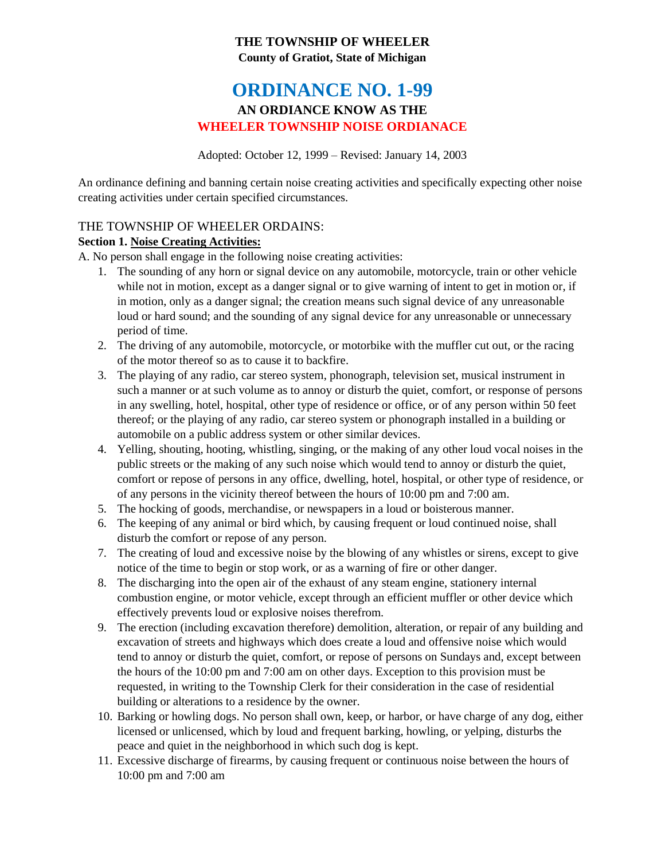# **THE TOWNSHIP OF WHEELER County of Gratiot, State of Michigan**

# **ORDINANCE NO. 1-99 AN ORDIANCE KNOW AS THE WHEELER TOWNSHIP NOISE ORDIANACE**

Adopted: October 12, 1999 – Revised: January 14, 2003

An ordinance defining and banning certain noise creating activities and specifically expecting other noise creating activities under certain specified circumstances.

## THE TOWNSHIP OF WHEELER ORDAINS:

### **Section 1. Noise Creating Activities:**

A. No person shall engage in the following noise creating activities:

- 1. The sounding of any horn or signal device on any automobile, motorcycle, train or other vehicle while not in motion, except as a danger signal or to give warning of intent to get in motion or, if in motion, only as a danger signal; the creation means such signal device of any unreasonable loud or hard sound; and the sounding of any signal device for any unreasonable or unnecessary period of time.
- 2. The driving of any automobile, motorcycle, or motorbike with the muffler cut out, or the racing of the motor thereof so as to cause it to backfire.
- 3. The playing of any radio, car stereo system, phonograph, television set, musical instrument in such a manner or at such volume as to annoy or disturb the quiet, comfort, or response of persons in any swelling, hotel, hospital, other type of residence or office, or of any person within 50 feet thereof; or the playing of any radio, car stereo system or phonograph installed in a building or automobile on a public address system or other similar devices.
- 4. Yelling, shouting, hooting, whistling, singing, or the making of any other loud vocal noises in the public streets or the making of any such noise which would tend to annoy or disturb the quiet, comfort or repose of persons in any office, dwelling, hotel, hospital, or other type of residence, or of any persons in the vicinity thereof between the hours of 10:00 pm and 7:00 am.
- 5. The hocking of goods, merchandise, or newspapers in a loud or boisterous manner.
- 6. The keeping of any animal or bird which, by causing frequent or loud continued noise, shall disturb the comfort or repose of any person.
- 7. The creating of loud and excessive noise by the blowing of any whistles or sirens, except to give notice of the time to begin or stop work, or as a warning of fire or other danger.
- 8. The discharging into the open air of the exhaust of any steam engine, stationery internal combustion engine, or motor vehicle, except through an efficient muffler or other device which effectively prevents loud or explosive noises therefrom.
- 9. The erection (including excavation therefore) demolition, alteration, or repair of any building and excavation of streets and highways which does create a loud and offensive noise which would tend to annoy or disturb the quiet, comfort, or repose of persons on Sundays and, except between the hours of the 10:00 pm and 7:00 am on other days. Exception to this provision must be requested, in writing to the Township Clerk for their consideration in the case of residential building or alterations to a residence by the owner.
- 10. Barking or howling dogs. No person shall own, keep, or harbor, or have charge of any dog, either licensed or unlicensed, which by loud and frequent barking, howling, or yelping, disturbs the peace and quiet in the neighborhood in which such dog is kept.
- 11. Excessive discharge of firearms, by causing frequent or continuous noise between the hours of 10:00 pm and 7:00 am